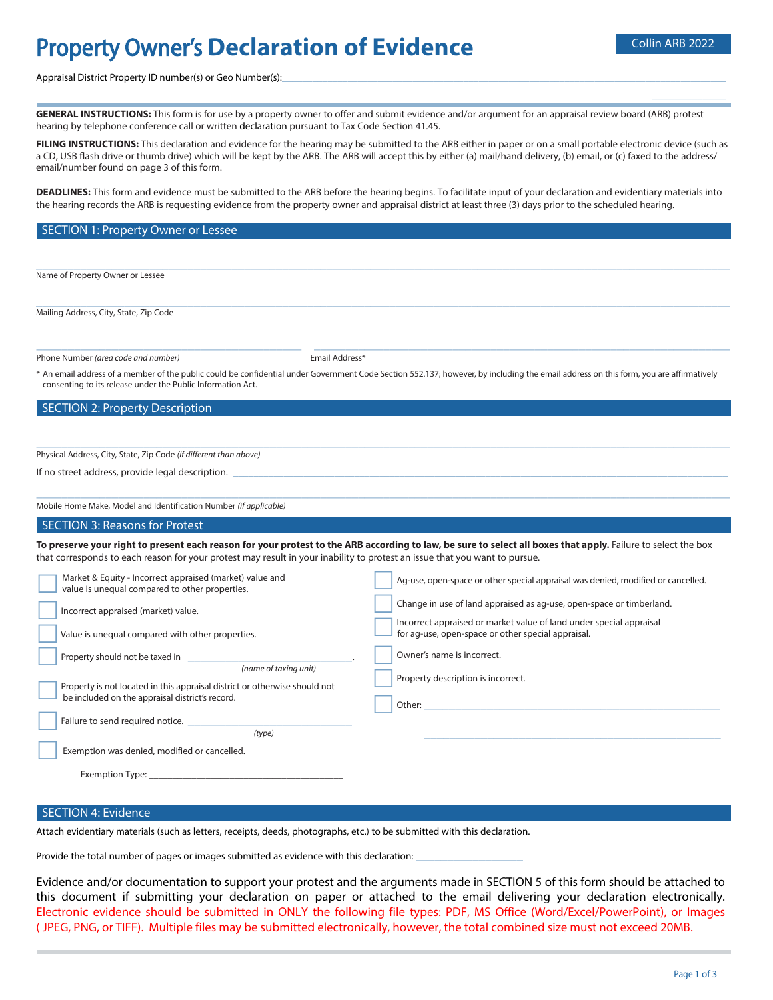# **Property Owner's Declaration of Evidence Collin ARB 2022**

Appraisal District Property ID number(s) or Geo Number(s):

**GENERAL INSTRUCTIONS:** This form is for use by a property owner to offer and submit evidence and/or argument for an appraisal review board (ARB) protest hearing by telephone conference call or written declaration pursuant to Tax Code Section 41.45.

FILING INSTRUCTIONS: This declaration and evidence for the hearing may be submitted to the ARB either in paper or on a small portable electronic device (such as a CD, USB flash drive or thumb drive) which will be kept by the ARB. The ARB will accept this by either (a) mail/hand delivery, (b) email, or (c) faxed to the address/ email/number found on page 3 of this form.

\_\_\_\_\_\_\_\_\_\_\_\_\_\_\_\_\_\_\_\_\_\_\_\_\_\_\_\_\_\_\_\_\_\_\_\_\_\_\_\_\_\_\_\_\_\_\_\_\_\_\_\_\_\_\_\_\_\_\_\_\_\_\_\_\_\_\_\_\_\_\_\_\_\_\_\_\_\_\_\_\_\_\_\_\_\_\_\_\_\_\_\_\_\_\_\_\_\_\_\_\_\_\_\_\_\_\_\_\_\_\_\_\_\_\_\_\_\_\_\_\_\_\_\_\_\_\_\_\_\_\_\_\_\_\_

**DEADLINES:** This form and evidence must be submitted to the ARB before the hearing begins. To facilitate input of your declaration and evidentiary materials into the hearing records the ARB is requesting evidence from the property owner and appraisal district at least three (3) days prior to the scheduled hearing.

#### SECTION 1: Property Owner or Lessee  $\_$  , and the set of the set of the set of the set of the set of the set of the set of the set of the set of the set of the set of the set of the set of the set of the set of the set of the set of the set of the set of th Name of Property Owner or Lessee  $\_$  , and the state of the state of the state of the state of the state of the state of the state of the state of the state of the state of the state of the state of the state of the state of the state of the state of the Mailing Address, City, State, Zip Code \_\_\_\_\_\_\_\_\_\_\_\_\_\_\_\_\_\_\_\_\_\_\_\_\_\_\_\_\_\_\_\_\_\_\_\_\_\_\_\_\_\_ Phone Number *(area code and number)* The *number* Email Address\*  $\_$  , and the set of the set of the set of the set of the set of the set of the set of the set of the set of the set of the set of the set of the set of the set of the set of the set of the set of the set of the set of th \* An email address of a member of the public could be confidential under Government Code Section 552.137; however, by including the email address on this form, you are affirmatively consenting to its release under the Public Information Act. SECTION 2: Property Description  $\_$  , and the set of the set of the set of the set of the set of the set of the set of the set of the set of the set of the set of the set of the set of the set of the set of the set of the set of the set of the set of th Physical Address, City, State, Zip Code *(if different than above)* If no street address, provide legal description.  $\_$  , and the set of the set of the set of the set of the set of the set of the set of the set of the set of the set of the set of the set of the set of the set of the set of the set of the set of the set of the set of th Mobile Home Make, Model and Identification Number *(if applicable)* SECTION 3: Reasons for Protest To preserve your right to present each reason for your protest to the ARB according to law, be sure to select all boxes that apply. Failure to select the box that corresponds to each reason for your protest may result in your inability to protest an issue that you want to pursue.  $\Box$  $\Box$ **Property should not be taxed in**<br> **Conserved in Conserved in Conserved in Conserved in Conserved in Conserved in Conserved in Conserved in Conserved in Conserved in Conserved in Conserved Property is not located in this appraisal district or otherwise should not** be included on the appraisal district's record.  $\Box$  $\Box$  Incorrect appraised (market) value. \_\_\_\_\_\_\_\_\_\_\_\_\_\_\_\_\_\_\_\_\_\_\_\_\_\_ Value is unequal compared with other properties. Failure to send required notice. *(type)* Exemption was denied, modified or cancelled. Exemption Type: . \_\_\_\_\_\_\_\_\_\_\_\_\_\_\_\_\_\_\_\_\_\_\_\_\_\_  $\Box$  $\Box$  $\Box$  $\Box$  $\Box$  Ag-use, open-space or other special appraisal was denied, modified or cancelled. Change in use of land appraised as ag-use, open-space or timberland. Incorrect appraised or market value of land under special appraisal for ag-use, open-space or other special appraisal. Owner's name is incorrect. Property description is incorrect. Other: \_\_\_\_\_\_\_\_\_\_\_\_\_\_\_\_\_\_\_\_\_\_\_\_\_\_\_\_\_\_\_\_\_\_\_\_\_\_\_\_\_\_\_\_\_\_\_ \_\_\_\_\_\_\_\_\_\_\_\_\_\_\_\_\_\_\_\_\_\_\_\_\_\_\_\_\_\_\_\_\_\_\_\_\_\_\_\_\_\_\_\_\_\_\_ Market & Equity - Incorrect appraised (market) value and value is unequal compared to other properties.

#### SECTION 4: Evidence

Attach evidentiary materials (such as letters, receipts, deeds, photographs, etc.) to be submitted with this declaration.

Provide the total number of pages or images submitted as evidence with this declaration:

Evidence and/or documentation to support your protest and the arguments made in SECTION 5 of this form should be attached to this document if submitting your declaration on paper or attached to the email delivering your declaration electronically. Electronic evidence should be submitted in ONLY the following file types: PDF, MS Office (Word/Excel/PowerPoint), or Images ( JPEG, PNG, or TIFF). Multiple files may be submitted electronically, however, the total combined size must not exceed 20MB.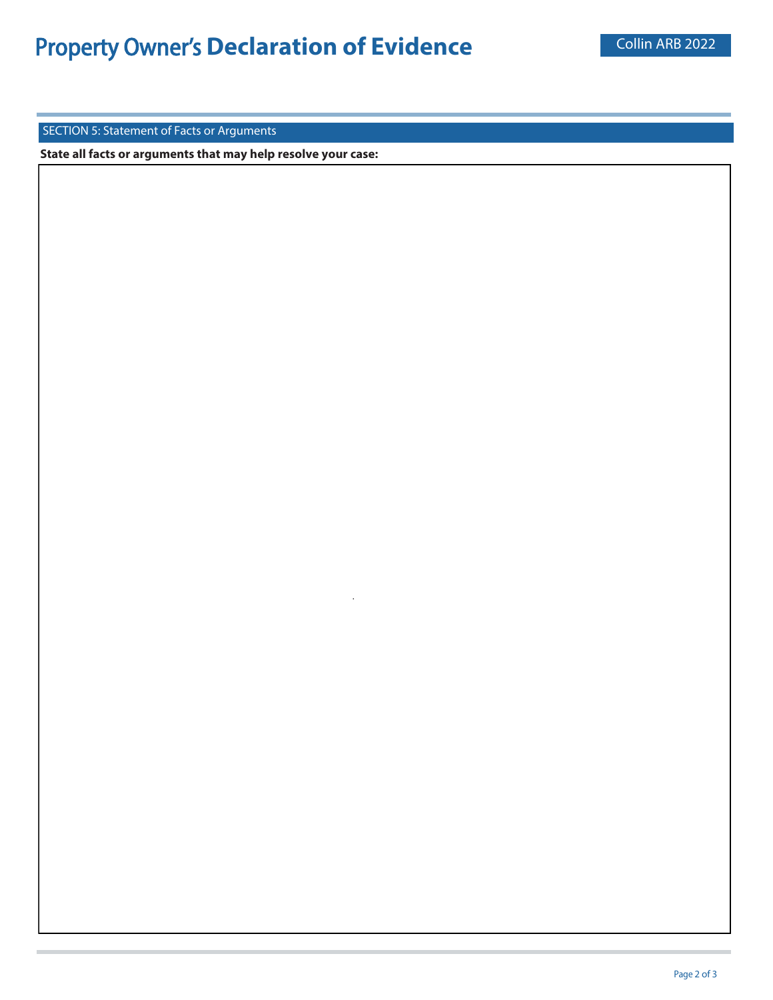.

SECTION 5: Statement of Facts or Arguments

**State all facts or arguments that may help resolve your case:**